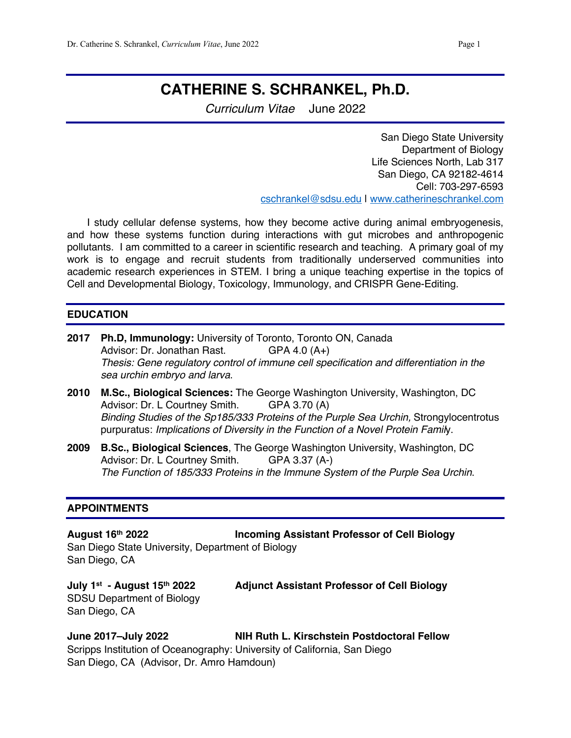# **CATHERINE S. SCHRANKEL, Ph.D.**

*Curriculum Vitae* June 2022

San Diego State University Department of Biology Life Sciences North, Lab 317 San Diego, CA 92182-4614 Cell: 703-297-6593 cschrankel@sdsu.edu | www.catherineschrankel.com

 I study cellular defense systems, how they become active during animal embryogenesis, and how these systems function during interactions with gut microbes and anthropogenic pollutants. I am committed to a career in scientific research and teaching. A primary goal of my work is to engage and recruit students from traditionally underserved communities into academic research experiences in STEM. I bring a unique teaching expertise in the topics of Cell and Developmental Biology, Toxicology, Immunology, and CRISPR Gene-Editing.

#### **EDUCATION**

- **2017 Ph.D, Immunology:** University of Toronto, Toronto ON, Canada Advisor: Dr. Jonathan Rast. GPA 4.0 (A+) *Thesis: Gene regulatory control of immune cell specification and differentiation in the sea urchin embryo and larva*.
- **2010 M.Sc., Biological Sciences:** The George Washington University, Washington, DC Advisor: Dr. L Courtney Smith. GPA 3.70 (A) *Binding Studies of the Sp185/333 Proteins of the Purple Sea Urchin,* Strongylocentrotus purpuratus: *Implications of Diversity in the Function of a Novel Protein Famil*y.
- **2009 B.Sc., Biological Sciences**, The George Washington University, Washington, DC Advisor: Dr. L Courtney Smith. GPA 3.37 (A-) *The Function of 185/333 Proteins in the Immune System of the Purple Sea Urchin*.

#### **APPOINTMENTS**

**August 16th 2022 Incoming Assistant Professor of Cell Biology** San Diego State University, Department of Biology San Diego, CA

SDSU Department of Biology San Diego, CA

**July 1st - August 15th 2022 Adjunct Assistant Professor of Cell Biology**

**June 2017–July 2022 NIH Ruth L. Kirschstein Postdoctoral Fellow** Scripps Institution of Oceanography: University of California, San Diego San Diego, CA (Advisor, Dr. Amro Hamdoun)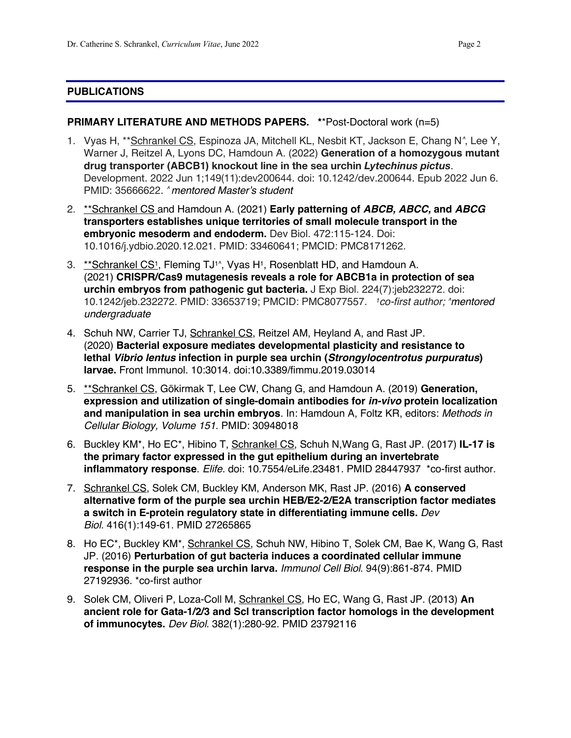#### **PUBLICATIONS**

#### **PRIMARY LITERATURE AND METHODS PAPERS. \***\*Post-Doctoral work (n=5)

- 1. Vyas H, \*\*Schrankel CS, Espinoza JA, Mitchell KL, Nesbit KT, Jackson E, Chang N*^*, Lee Y, Warner J, Reitzel A, Lyons DC, Hamdoun A. (2022) **Generation of a homozygous mutant drug transporter (ABCB1) knockout line in the sea urchin** *Lytechinus pictus*. Development. 2022 Jun 1;149(11):dev200644. doi: 10.1242/dev.200644. Epub 2022 Jun 6. PMID: 35666622. *^ mentored Master's student*
- 2. \*\*Schrankel CS and Hamdoun A. (2021) **Early patterning of** *ABCB, ABCC,* **and** *ABCG* **transporters establishes unique territories of small molecule transport in the embryonic mesoderm and endoderm.** Dev Biol. 472:115-124. Doi: 10.1016/j.ydbio.2020.12.021. PMID: 33460641; PMCID: PMC8171262.
- 3. \*\* Schrankel CS<sup>1</sup>, Fleming TJ<sup>1</sup><sup>^</sup>, Vyas H<sup>1</sup>, Rosenblatt HD, and Hamdoun A. (2021) **CRISPR/Cas9 mutagenesis reveals a role for ABCB1a in protection of sea urchin embryos from pathogenic gut bacteria.** J Exp Biol. 224(7):jeb232272. doi: 10.1242/jeb.232272. PMID: 33653719; PMCID: PMC8077557. *1co-first author; ^mentored undergraduate*
- 4. Schuh NW, Carrier TJ, Schrankel CS, Reitzel AM, Heyland A, and Rast JP. (2020) **Bacterial exposure mediates developmental plasticity and resistance to lethal** *Vibrio lentus* **infection in purple sea urchin (***Strongylocentrotus purpuratus***) larvae.** Front Immunol. 10:3014. doi:10.3389/fimmu.2019.03014
- 5. \*\*Schrankel CS, Gökirmak T, Lee CW, Chang G, and Hamdoun A. (2019) **Generation, expression and utilization of single-domain antibodies for** *in-vivo* **protein localization and manipulation in sea urchin embryos**. In: Hamdoun A, Foltz KR, editors: *Methods in Cellular Biology, Volume 151*. PMID: 30948018
- 6. Buckley KM\*, Ho EC\*, Hibino T, Schrankel CS, Schuh N,Wang G, Rast JP. (2017) **IL-17 is the primary factor expressed in the gut epithelium during an invertebrate inflammatory response**. *Elife*. doi: 10.7554/eLife.23481. PMID 28447937 \*co-first author.
- 7. Schrankel CS, Solek CM, Buckley KM, Anderson MK, Rast JP. (2016) **A conserved alternative form of the purple sea urchin HEB/E2-2/E2A transcription factor mediates a switch in E-protein regulatory state in differentiating immune cells.** *Dev Biol.* 416(1):149-61. PMID 27265865
- 8. Ho EC\*, Buckley KM\*, Schrankel CS, Schuh NW, Hibino T, Solek CM, Bae K, Wang G, Rast JP. (2016) **Perturbation of gut bacteria induces a coordinated cellular immune response in the purple sea urchin larva.** *Immunol Cell Biol*. 94(9):861-874. PMID 27192936. \*co-first author
- 9. Solek CM, Oliveri P, Loza-Coll M, Schrankel CS, Ho EC, Wang G, Rast JP. (2013) **An ancient role for Gata-1/2/3 and Scl transcription factor homologs in the development of immunocytes.** *Dev Biol*. 382(1):280-92. PMID 23792116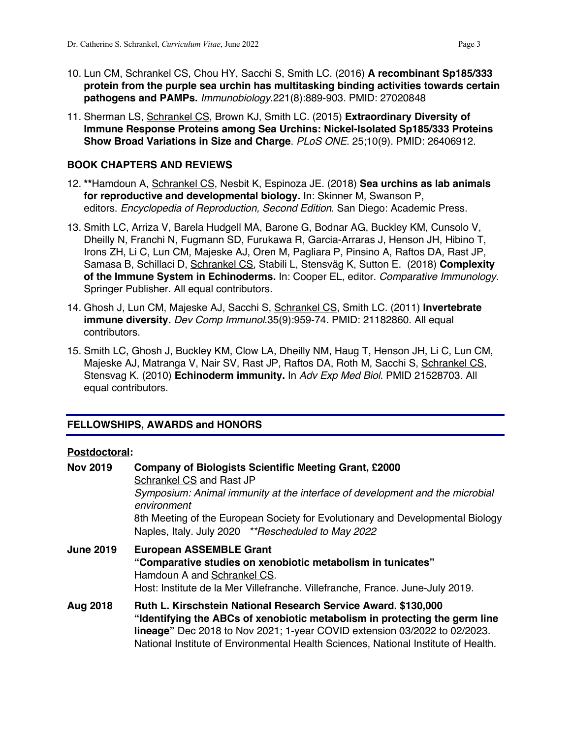- 10. Lun CM, Schrankel CS, Chou HY, Sacchi S, Smith LC. (2016) **A recombinant Sp185/333 protein from the purple sea urchin has multitasking binding activities towards certain pathogens and PAMPs.** *Immunobiology*.221(8):889-903. PMID: 27020848
- 11. Sherman LS, Schrankel CS, Brown KJ, Smith LC. (2015) **Extraordinary Diversity of Immune Response Proteins among Sea Urchins: Nickel-Isolated Sp185/333 Proteins Show Broad Variations in Size and Charge**. *PLoS ONE*. 25;10(9). PMID: 26406912.

#### **BOOK CHAPTERS AND REVIEWS**

- 12. **\*\***Hamdoun A, Schrankel CS, Nesbit K, Espinoza JE. (2018) **Sea urchins as lab animals for reproductive and developmental biology.** In: Skinner M, Swanson P, editors. *Encyclopedia of Reproduction, Second Edition*. San Diego: Academic Press.
- 13. Smith LC, Arriza V, Barela Hudgell MA, Barone G, Bodnar AG, Buckley KM, Cunsolo V, Dheilly N, Franchi N, Fugmann SD, Furukawa R, Garcia-Arraras J, Henson JH, Hibino T, Irons ZH, Li C, Lun CM, Majeske AJ, Oren M, Pagliara P, Pinsino A, Raftos DA, Rast JP, Samasa B, Schillaci D, Schrankel CS, Stabili L, Stensväg K, Sutton E. (2018) **Complexity of the Immune System in Echinoderms.** In: Cooper EL, editor. *Comparative Immunology*. Springer Publisher. All equal contributors.
- 14. Ghosh J, Lun CM, Majeske AJ, Sacchi S, Schrankel CS, Smith LC. (2011) **Invertebrate immune diversity.** *Dev Comp Immunol*.35(9):959-74. PMID: 21182860. All equal contributors.
- 15. Smith LC, Ghosh J, Buckley KM, Clow LA, Dheilly NM, Haug T, Henson JH, Li C, Lun CM, Majeske AJ, Matranga V, Nair SV, Rast JP, Raftos DA, Roth M, Sacchi S, Schrankel CS, Stensvag K. (2010) **Echinoderm immunity.** In *Adv Exp Med Biol*. PMID 21528703. All equal contributors.

#### **FELLOWSHIPS, AWARDS and HONORS**

#### **Postdoctoral:**

| <b>Nov 2019</b>  | <b>Company of Biologists Scientific Meeting Grant, £2000</b><br>Schrankel CS and Rast JP                                                                                                                                                                                                                        |
|------------------|-----------------------------------------------------------------------------------------------------------------------------------------------------------------------------------------------------------------------------------------------------------------------------------------------------------------|
|                  | Symposium: Animal immunity at the interface of development and the microbial<br>environment                                                                                                                                                                                                                     |
|                  | 8th Meeting of the European Society for Evolutionary and Developmental Biology<br>Naples, Italy. July 2020 **Rescheduled to May 2022                                                                                                                                                                            |
| <b>June 2019</b> | <b>European ASSEMBLE Grant</b><br>"Comparative studies on xenobiotic metabolism in tunicates"<br>Hamdoun A and Schrankel CS.<br>Host: Institute de la Mer Villefranche. Villefranche, France. June-July 2019.                                                                                                   |
| Aug 2018         | Ruth L. Kirschstein National Research Service Award. \$130,000<br>"Identifying the ABCs of xenobiotic metabolism in protecting the germ line<br>lineage" Dec 2018 to Nov 2021; 1-year COVID extension 03/2022 to 02/2023.<br>National Institute of Environmental Health Sciences, National Institute of Health. |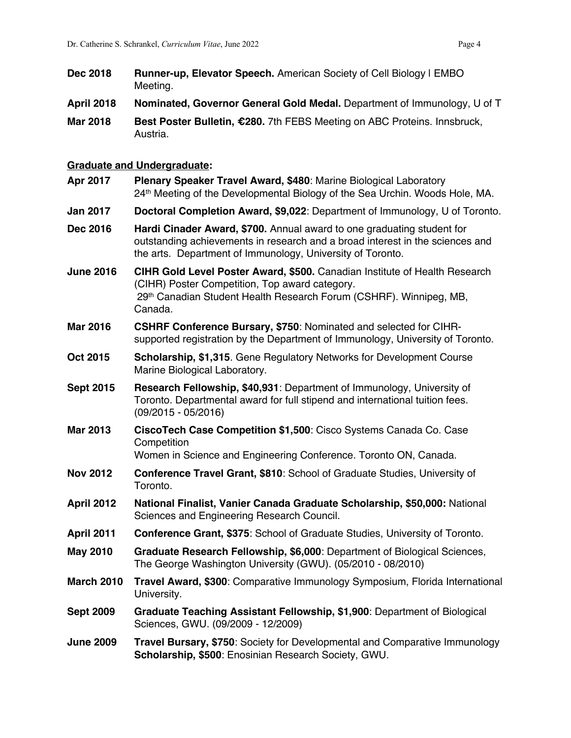- **Dec 2018 Runner-up, Elevator Speech.** American Society of Cell Biology | EMBO Meeting.
- **April 2018 Nominated, Governor General Gold Medal.** Department of Immunology, U of T
- **Mar 2018 Best Poster Bulletin, €280.** 7th FEBS Meeting on ABC Proteins. Innsbruck, Austria.

#### **Graduate and Undergraduate:**

- **Apr 2017 Plenary Speaker Travel Award, \$480**: Marine Biological Laboratory 24th Meeting of the Developmental Biology of the Sea Urchin. Woods Hole, MA.
- **Jan 2017 Doctoral Completion Award, \$9,022**: Department of Immunology, U of Toronto.
- **Dec 2016 Hardi Cinader Award, \$700.** Annual award to one graduating student for outstanding achievements in research and a broad interest in the sciences and the arts. Department of Immunology, University of Toronto.
- **June 2016 CIHR Gold Level Poster Award, \$500. Canadian Institute of Health Research** (CIHR) Poster Competition, Top award category. 29th Canadian Student Health Research Forum (CSHRF). Winnipeg, MB, Canada.
- **Mar 2016 CSHRF Conference Bursary, \$750**: Nominated and selected for CIHRsupported registration by the Department of Immunology, University of Toronto.
- **Oct 2015 Scholarship, \$1,315**. Gene Regulatory Networks for Development Course Marine Biological Laboratory.
- **Sept 2015 Research Fellowship, \$40,931**: Department of Immunology, University of Toronto. Departmental award for full stipend and international tuition fees. (09/2015 - 05/2016)
- **Mar 2013 CiscoTech Case Competition \$1,500**: Cisco Systems Canada Co. Case **Competition**

Women in Science and Engineering Conference. Toronto ON, Canada.

- **Nov 2012 Conference Travel Grant, \$810**: School of Graduate Studies, University of Toronto.
- **April 2012 National Finalist, Vanier Canada Graduate Scholarship, \$50,000:** National Sciences and Engineering Research Council.
- **April 2011 Conference Grant, \$375**: School of Graduate Studies, University of Toronto.
- **May 2010 Graduate Research Fellowship, \$6,000**: Department of Biological Sciences, The George Washington University (GWU). (05/2010 - 08/2010)
- **March 2010 Travel Award, \$300**: Comparative Immunology Symposium, Florida International University.
- **Sept 2009 Graduate Teaching Assistant Fellowship, \$1,900**: Department of Biological Sciences, GWU. (09/2009 - 12/2009)
- **June 2009 Travel Bursary, \$750**: Society for Developmental and Comparative Immunology **Scholarship, \$500**: Enosinian Research Society, GWU.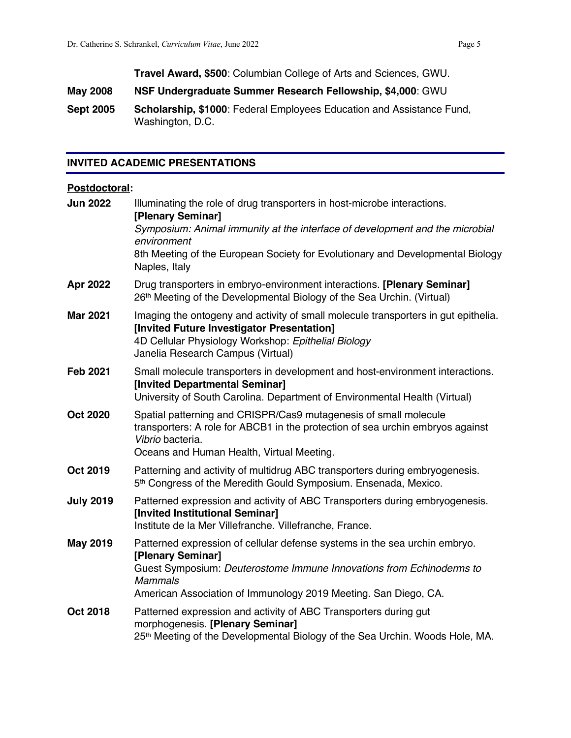**Travel Award, \$500**: Columbian College of Arts and Sciences, GWU.

- **May 2008 NSF Undergraduate Summer Research Fellowship, \$4,000**: GWU
- **Sept 2005 Scholarship, \$1000**: Federal Employees Education and Assistance Fund, Washington, D.C.

#### **INVITED ACADEMIC PRESENTATIONS**

#### **Postdoctoral:**

| <b>Jun 2022</b>  | Illuminating the role of drug transporters in host-microbe interactions.<br>[Plenary Seminar]<br>Symposium: Animal immunity at the interface of development and the microbial<br>environment<br>8th Meeting of the European Society for Evolutionary and Developmental Biology<br>Naples, Italy |
|------------------|-------------------------------------------------------------------------------------------------------------------------------------------------------------------------------------------------------------------------------------------------------------------------------------------------|
| Apr 2022         | Drug transporters in embryo-environment interactions. [Plenary Seminar]<br>26th Meeting of the Developmental Biology of the Sea Urchin. (Virtual)                                                                                                                                               |
| <b>Mar 2021</b>  | Imaging the ontogeny and activity of small molecule transporters in gut epithelia.<br>[Invited Future Investigator Presentation]<br>4D Cellular Physiology Workshop: Epithelial Biology<br>Janelia Research Campus (Virtual)                                                                    |
| <b>Feb 2021</b>  | Small molecule transporters in development and host-environment interactions.<br>[Invited Departmental Seminar]<br>University of South Carolina. Department of Environmental Health (Virtual)                                                                                                   |
| <b>Oct 2020</b>  | Spatial patterning and CRISPR/Cas9 mutagenesis of small molecule<br>transporters: A role for ABCB1 in the protection of sea urchin embryos against<br>Vibrio bacteria.<br>Oceans and Human Health, Virtual Meeting.                                                                             |
| <b>Oct 2019</b>  | Patterning and activity of multidrug ABC transporters during embryogenesis.<br>5th Congress of the Meredith Gould Symposium. Ensenada, Mexico.                                                                                                                                                  |
| <b>July 2019</b> | Patterned expression and activity of ABC Transporters during embryogenesis.<br>[Invited Institutional Seminar]<br>Institute de la Mer Villefranche. Villefranche, France.                                                                                                                       |
| <b>May 2019</b>  | Patterned expression of cellular defense systems in the sea urchin embryo.<br>[Plenary Seminar]<br>Guest Symposium: Deuterostome Immune Innovations from Echinoderms to<br><b>Mammals</b><br>American Association of Immunology 2019 Meeting. San Diego, CA.                                    |
| <b>Oct 2018</b>  | Patterned expression and activity of ABC Transporters during gut<br>morphogenesis. [Plenary Seminar]<br>25 <sup>th</sup> Meeting of the Developmental Biology of the Sea Urchin. Woods Hole, MA.                                                                                                |
|                  |                                                                                                                                                                                                                                                                                                 |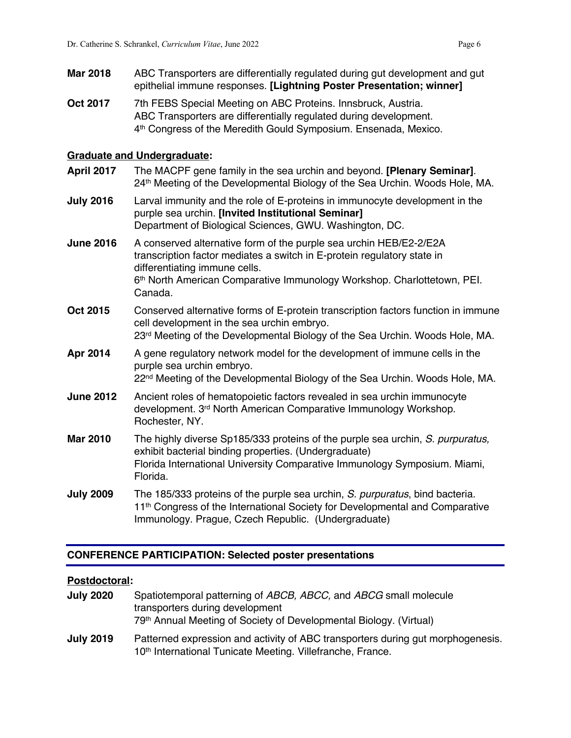- **Mar 2018** ABC Transporters are differentially regulated during gut development and gut epithelial immune responses. **[Lightning Poster Presentation; winner]**
- **Oct 2017** 7th FEBS Special Meeting on ABC Proteins. Innsbruck, Austria. ABC Transporters are differentially regulated during development. 4th Congress of the Meredith Gould Symposium. Ensenada, Mexico.

#### **Graduate and Undergraduate:**

- **April 2017** The MACPF gene family in the sea urchin and beyond. **[Plenary Seminar]**. 24<sup>th</sup> Meeting of the Developmental Biology of the Sea Urchin. Woods Hole, MA.
- **July 2016** Larval immunity and the role of E-proteins in immunocyte development in the purple sea urchin. **[Invited Institutional Seminar]** Department of Biological Sciences, GWU. Washington, DC.
- **June 2016** A conserved alternative form of the purple sea urchin HEB/E2-2/E2A transcription factor mediates a switch in E-protein regulatory state in differentiating immune cells. 6th North American Comparative Immunology Workshop. Charlottetown, PEI. Canada.
- **Oct 2015** Conserved alternative forms of E-protein transcription factors function in immune cell development in the sea urchin embryo. 23<sup>rd</sup> Meeting of the Developmental Biology of the Sea Urchin. Woods Hole, MA.
- **Apr 2014** A gene regulatory network model for the development of immune cells in the purple sea urchin embryo. 22<sup>nd</sup> Meeting of the Developmental Biology of the Sea Urchin. Woods Hole, MA.
- **June 2012** Ancient roles of hematopoietic factors revealed in sea urchin immunocyte development. 3rd North American Comparative Immunology Workshop. Rochester, NY.
- **Mar 2010** The highly diverse Sp185/333 proteins of the purple sea urchin, *S. purpuratus,* exhibit bacterial binding properties. (Undergraduate) Florida International University Comparative Immunology Symposium. Miami, Florida.
- **July 2009** The 185/333 proteins of the purple sea urchin, *S. purpuratus*, bind bacteria. 11<sup>th</sup> Congress of the International Society for Developmental and Comparative Immunology. Prague, Czech Republic. (Undergraduate)

#### **CONFERENCE PARTICIPATION: Selected poster presentations**

#### **Postdoctoral:**

**July 2020** Spatiotemporal patterning of *ABCB, ABCC,* and *ABCG* small molecule transporters during development 79th Annual Meeting of Society of Developmental Biology. (Virtual) **July 2019** Patterned expression and activity of ABC transporters during gut morphogenesis. 10<sup>th</sup> International Tunicate Meeting. Villefranche, France.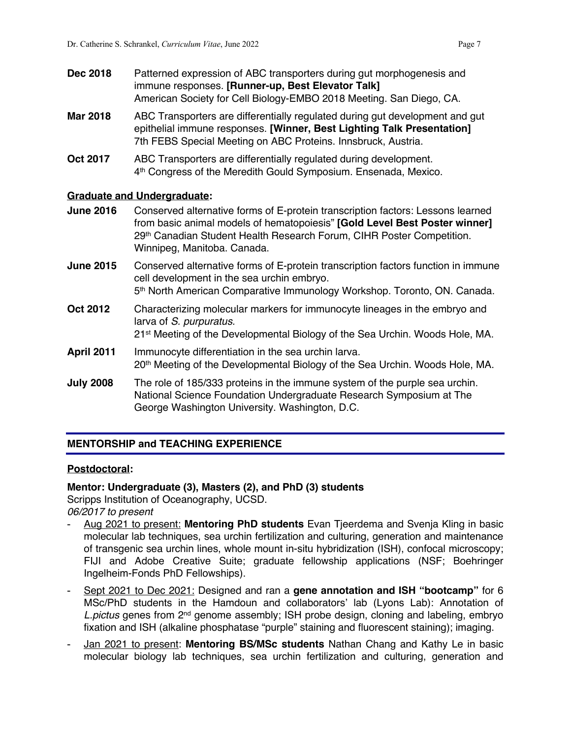- **Dec 2018** Patterned expression of ABC transporters during gut morphogenesis and immune responses. **[Runner-up, Best Elevator Talk]** American Society for Cell Biology-EMBO 2018 Meeting. San Diego, CA.
- **Mar 2018** ABC Transporters are differentially regulated during gut development and gut epithelial immune responses. **[Winner, Best Lighting Talk Presentation]** 7th FEBS Special Meeting on ABC Proteins. Innsbruck, Austria.
- **Oct 2017** ABC Transporters are differentially regulated during development. 4th Congress of the Meredith Gould Symposium. Ensenada, Mexico.

#### **Graduate and Undergraduate:**

- **June 2016** Conserved alternative forms of E-protein transcription factors: Lessons learned from basic animal models of hematopoiesis" **[Gold Level Best Poster winner]** 29<sup>th</sup> Canadian Student Health Research Forum, CIHR Poster Competition. Winnipeg, Manitoba. Canada.
- **June 2015** Conserved alternative forms of E-protein transcription factors function in immune cell development in the sea urchin embryo. 5th North American Comparative Immunology Workshop. Toronto, ON. Canada.
- **Oct 2012** Characterizing molecular markers for immunocyte lineages in the embryo and larva of *S. purpuratus.*
	- 21st Meeting of the Developmental Biology of the Sea Urchin. Woods Hole, MA.
- **April 2011** Immunocyte differentiation in the sea urchin larva. 20<sup>th</sup> Meeting of the Developmental Biology of the Sea Urchin. Woods Hole, MA.
- **July 2008** The role of 185/333 proteins in the immune system of the purple sea urchin. National Science Foundation Undergraduate Research Symposium at The George Washington University. Washington, D.C.

#### **MENTORSHIP and TEACHING EXPERIENCE**

#### **Postdoctoral:**

#### **Mentor: Undergraduate (3), Masters (2), and PhD (3) students**

Scripps Institution of Oceanography, UCSD.

*06/2017 to present*

- Aug 2021 to present: **Mentoring PhD students** Evan Tjeerdema and Svenja Kling in basic molecular lab techniques, sea urchin fertilization and culturing, generation and maintenance of transgenic sea urchin lines, whole mount in-situ hybridization (ISH), confocal microscopy; FIJI and Adobe Creative Suite; graduate fellowship applications (NSF; Boehringer Ingelheim-Fonds PhD Fellowships).
- Sept 2021 to Dec 2021: Designed and ran a **gene annotation and ISH "bootcamp"** for 6 MSc/PhD students in the Hamdoun and collaborators' lab (Lyons Lab): Annotation of *L.pictus* genes from 2nd genome assembly; ISH probe design, cloning and labeling, embryo fixation and ISH (alkaline phosphatase "purple" staining and fluorescent staining); imaging.
- **Jan 2021 to present: Mentoring BS/MSc students** Nathan Chang and Kathy Le in basic molecular biology lab techniques, sea urchin fertilization and culturing, generation and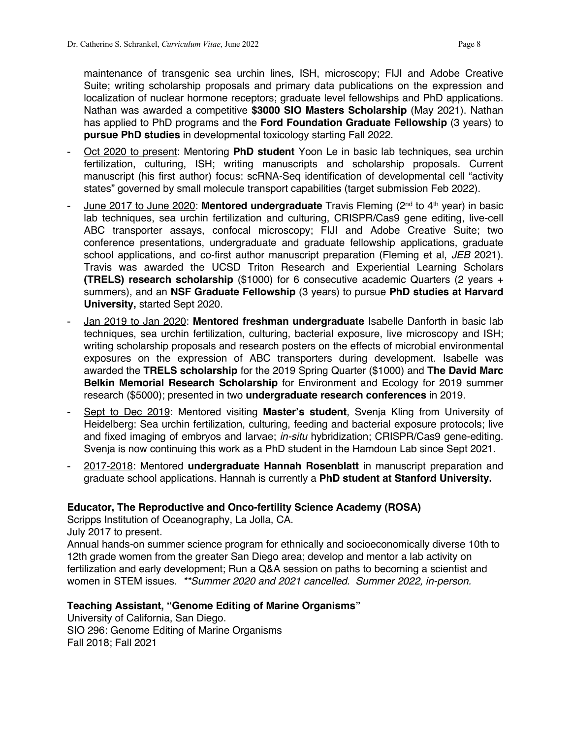maintenance of transgenic sea urchin lines, ISH, microscopy; FIJI and Adobe Creative Suite; writing scholarship proposals and primary data publications on the expression and localization of nuclear hormone receptors; graduate level fellowships and PhD applications. Nathan was awarded a competitive **\$3000 SIO Masters Scholarship** (May 2021). Nathan has applied to PhD programs and the **Ford Foundation Graduate Fellowship** (3 years) to **pursue PhD studies** in developmental toxicology starting Fall 2022.

- Oct 2020 to present: Mentoring **PhD student** Yoon Le in basic lab techniques, sea urchin fertilization, culturing, ISH; writing manuscripts and scholarship proposals. Current manuscript (his first author) focus: scRNA-Seq identification of developmental cell "activity states" governed by small molecule transport capabilities (target submission Feb 2022).
- June 2017 to June 2020: **Mentored undergraduate** Travis Fleming (2nd to 4th year) in basic lab techniques, sea urchin fertilization and culturing, CRISPR/Cas9 gene editing, live-cell ABC transporter assays, confocal microscopy; FIJI and Adobe Creative Suite; two conference presentations, undergraduate and graduate fellowship applications, graduate school applications, and co-first author manuscript preparation (Fleming et al, *JEB* 2021). Travis was awarded the UCSD Triton Research and Experiential Learning Scholars **(TRELS) research scholarship** (\$1000) for 6 consecutive academic Quarters (2 years + summers), and an **NSF Graduate Fellowship** (3 years) to pursue **PhD studies at Harvard University,** started Sept 2020.
- Jan 2019 to Jan 2020: **Mentored freshman undergraduate** Isabelle Danforth in basic lab techniques, sea urchin fertilization, culturing, bacterial exposure, live microscopy and ISH; writing scholarship proposals and research posters on the effects of microbial environmental exposures on the expression of ABC transporters during development. Isabelle was awarded the **TRELS scholarship** for the 2019 Spring Quarter (\$1000) and **The David Marc Belkin Memorial Research Scholarship** for Environment and Ecology for 2019 summer research (\$5000); presented in two **undergraduate research conferences** in 2019.
- Sept to Dec 2019: Mentored visiting **Master's student**, Svenja Kling from University of Heidelberg: Sea urchin fertilization, culturing, feeding and bacterial exposure protocols; live and fixed imaging of embryos and larvae; *in-situ* hybridization; CRISPR/Cas9 gene-editing. Svenja is now continuing this work as a PhD student in the Hamdoun Lab since Sept 2021.
- 2017-2018: Mentored **undergraduate Hannah Rosenblatt** in manuscript preparation and graduate school applications. Hannah is currently a **PhD student at Stanford University.**

#### **Educator, The Reproductive and Onco-fertility Science Academy (ROSA)**

Scripps Institution of Oceanography, La Jolla, CA.

July 2017 to present.

Annual hands-on summer science program for ethnically and socioeconomically diverse 10th to 12th grade women from the greater San Diego area; develop and mentor a lab activity on fertilization and early development; Run a Q&A session on paths to becoming a scientist and women in STEM issues. *\*\*Summer 2020 and 2021 cancelled. Summer 2022, in-person.*

#### **Teaching Assistant, "Genome Editing of Marine Organisms"**

University of California, San Diego. SIO 296: Genome Editing of Marine Organisms Fall 2018; Fall 2021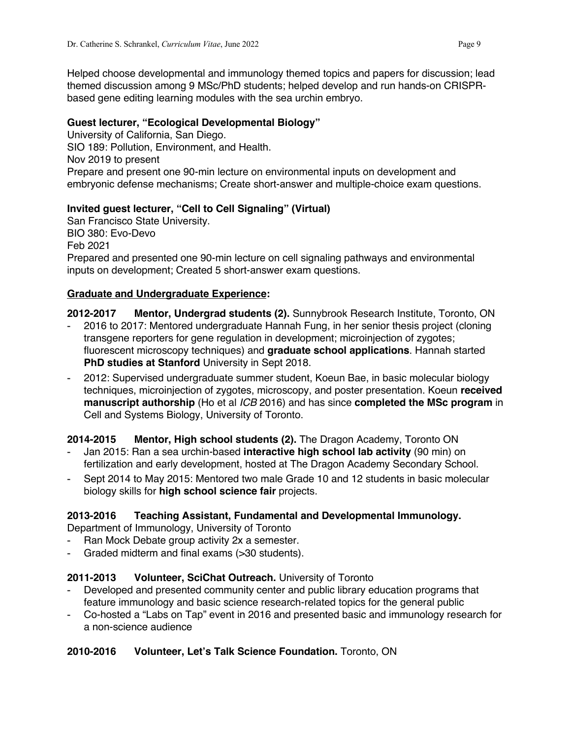Helped choose developmental and immunology themed topics and papers for discussion; lead themed discussion among 9 MSc/PhD students; helped develop and run hands-on CRISPRbased gene editing learning modules with the sea urchin embryo.

### **Guest lecturer, "Ecological Developmental Biology"**

University of California, San Diego. SIO 189: Pollution, Environment, and Health. Nov 2019 to present Prepare and present one 90-min lecture on environmental inputs on development and embryonic defense mechanisms; Create short-answer and multiple-choice exam questions.

#### **Invited guest lecturer, "Cell to Cell Signaling" (Virtual)**

San Francisco State University. BIO 380: Evo-Devo Feb 2021 Prepared and presented one 90-min lecture on cell signaling pathways and environmental inputs on development; Created 5 short-answer exam questions.

#### **Graduate and Undergraduate Experience:**

**2012-2017 Mentor, Undergrad students (2).** Sunnybrook Research Institute, Toronto, ON

- 2016 to 2017: Mentored undergraduate Hannah Fung, in her senior thesis project (cloning transgene reporters for gene regulation in development; microinjection of zygotes; fluorescent microscopy techniques) and **graduate school applications**. Hannah started **PhD studies at Stanford** University in Sept 2018.
- 2012: Supervised undergraduate summer student, Koeun Bae, in basic molecular biology techniques, microinjection of zygotes, microscopy, and poster presentation. Koeun **received manuscript authorship** (Ho et al *ICB* 2016) and has since **completed the MSc program** in Cell and Systems Biology, University of Toronto.

**2014-2015 Mentor, High school students (2).** The Dragon Academy, Toronto ON

- Jan 2015: Ran a sea urchin-based **interactive high school lab activity** (90 min) on fertilization and early development, hosted at The Dragon Academy Secondary School.
- Sept 2014 to May 2015: Mentored two male Grade 10 and 12 students in basic molecular biology skills for **high school science fair** projects.

# **2013-2016 Teaching Assistant, Fundamental and Developmental Immunology.**

Department of Immunology, University of Toronto

- Ran Mock Debate group activity 2x a semester.
- Graded midterm and final exams (>30 students).

#### **2011-2013 Volunteer, SciChat Outreach.** University of Toronto

- Developed and presented community center and public library education programs that feature immunology and basic science research-related topics for the general public
- Co-hosted a "Labs on Tap" event in 2016 and presented basic and immunology research for a non-science audience

# **2010-2016 Volunteer, Let's Talk Science Foundation.** Toronto, ON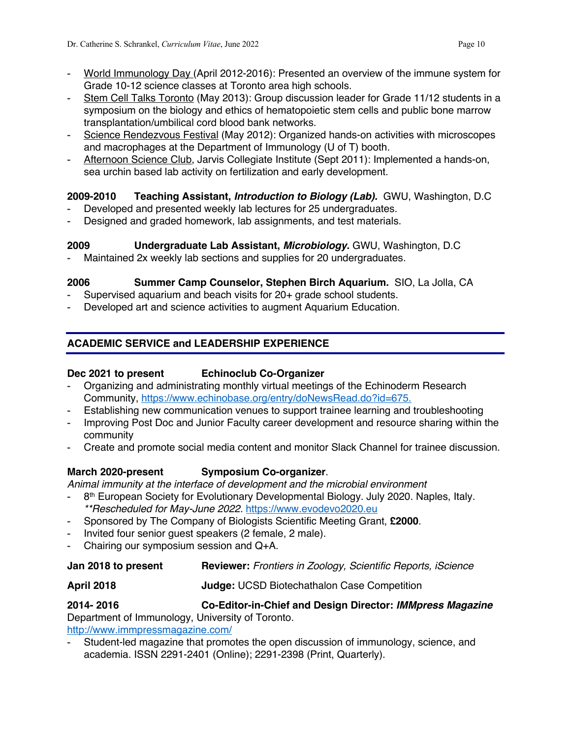- World Immunology Day (April 2012-2016): Presented an overview of the immune system for Grade 10-12 science classes at Toronto area high schools.
- Stem Cell Talks Toronto (May 2013): Group discussion leader for Grade 11/12 students in a symposium on the biology and ethics of hematopoietic stem cells and public bone marrow transplantation/umbilical cord blood bank networks.
- Science Rendezvous Festival (May 2012): Organized hands-on activities with microscopes and macrophages at the Department of Immunology (U of T) booth.
- Afternoon Science Club, Jarvis Collegiate Institute (Sept 2011): Implemented a hands-on, sea urchin based lab activity on fertilization and early development.

# **2009-2010 Teaching Assistant,** *Introduction to Biology (Lab).* GWU, Washington, D.C

- Developed and presented weekly lab lectures for 25 undergraduates.
- Designed and graded homework, lab assignments, and test materials.

# **2009 Undergraduate Lab Assistant,** *Microbiology***.** GWU, Washington, D.C

Maintained 2x weekly lab sections and supplies for 20 undergraduates.

# **2006 Summer Camp Counselor, Stephen Birch Aquarium.** SIO, La Jolla, CA

- Supervised aquarium and beach visits for 20+ grade school students.
- Developed art and science activities to augment Aquarium Education.

# **ACADEMIC SERVICE and LEADERSHIP EXPERIENCE**

# **Dec 2021 to present Echinoclub Co-Organizer**

- Organizing and administrating monthly virtual meetings of the Echinoderm Research Community, https://www.echinobase.org/entry/doNewsRead.do?id=675.
- Establishing new communication venues to support trainee learning and troubleshooting
- Improving Post Doc and Junior Faculty career development and resource sharing within the community
- Create and promote social media content and monitor Slack Channel for trainee discussion.

# **March 2020-present Symposium Co-organizer**.

*Animal immunity at the interface of development and the microbial environment*

- 8<sup>th</sup> European Society for Evolutionary Developmental Biology. July 2020. Naples, Italy. *\*\*Rescheduled for May-June 2022.* https://www.evodevo2020.eu
- Sponsored by The Company of Biologists Scientific Meeting Grant, **£2000**.
- Invited four senior guest speakers (2 female, 2 male).
- Chairing our symposium session and Q+A.

# **Jan 2018 to present Reviewer:** *Frontiers in Zoology, Scientific Reports, iScience*

# **April 2018 Judge:** UCSD Biotechathalon Case Competition

**2014- 2016 Co-Editor-in-Chief and Design Director:** *IMMpress Magazine* Department of Immunology, University of Toronto.

http://www.immpressmagazine.com/

- Student-led magazine that promotes the open discussion of immunology, science, and academia. ISSN 2291-2401 (Online); 2291-2398 (Print, Quarterly).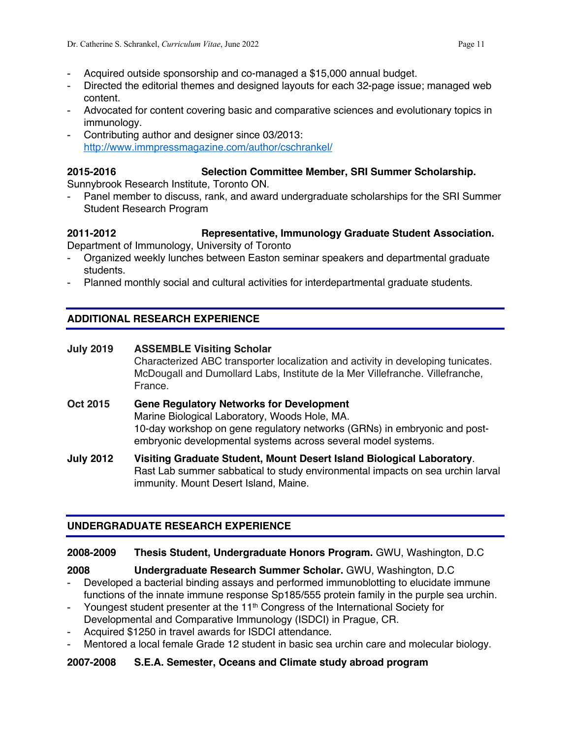- Acquired outside sponsorship and co-managed a \$15,000 annual budget.
- Directed the editorial themes and designed layouts for each 32-page issue; managed web content.
- Advocated for content covering basic and comparative sciences and evolutionary topics in immunology.
- Contributing author and designer since 03/2013: http://www.immpressmagazine.com/author/cschrankel/

# **2015-2016 Selection Committee Member, SRI Summer Scholarship.**

Sunnybrook Research Institute, Toronto ON.

Panel member to discuss, rank, and award undergraduate scholarships for the SRI Summer Student Research Program

# **2011-2012 Representative, Immunology Graduate Student Association.**

Department of Immunology, University of Toronto

- Organized weekly lunches between Easton seminar speakers and departmental graduate students.
- Planned monthly social and cultural activities for interdepartmental graduate students.

# **ADDITIONAL RESEARCH EXPERIENCE**

# **July 2019 ASSEMBLE Visiting Scholar**

Characterized ABC transporter localization and activity in developing tunicates. McDougall and Dumollard Labs, Institute de la Mer Villefranche. Villefranche, France.

- **Oct 2015 Gene Regulatory Networks for Development** Marine Biological Laboratory, Woods Hole, MA. 10-day workshop on gene regulatory networks (GRNs) in embryonic and postembryonic developmental systems across several model systems.
- **July 2012 Visiting Graduate Student, Mount Desert Island Biological Laboratory**. Rast Lab summer sabbatical to study environmental impacts on sea urchin larval immunity. Mount Desert Island, Maine.

# **UNDERGRADUATE RESEARCH EXPERIENCE**

# **2008-2009 Thesis Student, Undergraduate Honors Program.** GWU, Washington, D.C

- **2008 Undergraduate Research Summer Scholar.** GWU, Washington, D.C - Developed a bacterial binding assays and performed immunoblotting to elucidate immune functions of the innate immune response Sp185/555 protein family in the purple sea urchin.
- Youngest student presenter at the 11<sup>th</sup> Congress of the International Society for Developmental and Comparative Immunology (ISDCI) in Prague, CR.
- Acquired \$1250 in travel awards for ISDCI attendance.
- Mentored a local female Grade 12 student in basic sea urchin care and molecular biology.

# **2007-2008 S.E.A. Semester, Oceans and Climate study abroad program**